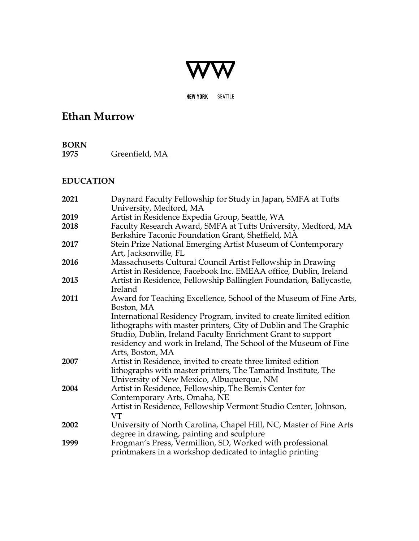

NEW YORK SEATTLE

## **Ethan Murrow**

**BORN 1975** Greenfield, MA

## **EDUCATION**

| 2021 | Daynard Faculty Fellowship for Study in Japan, SMFA at Tufts<br>University, Medford, MA                                                                                                            |
|------|----------------------------------------------------------------------------------------------------------------------------------------------------------------------------------------------------|
| 2019 | Artist in Residence Expedia Group, Seattle, WA                                                                                                                                                     |
| 2018 | Faculty Research Award, SMFA at Tufts University, Medford, MA<br>Berkshire Taconic Foundation Grant, Sheffield, MA                                                                                 |
| 2017 | Stein Prize National Emerging Artist Museum of Contemporary<br>Art, Jacksonville, FL                                                                                                               |
| 2016 | Massachusetts Cultural Council Artist Fellowship in Drawing<br>Artist in Residence, Facebook Inc. EMEAA office, Dublin, Ireland                                                                    |
| 2015 | Artist in Residence, Fellowship Ballinglen Foundation, Ballycastle,<br>Ireland                                                                                                                     |
| 2011 | Award for Teaching Excellence, School of the Museum of Fine Arts,<br>Boston, MA<br>International Residency Program, invited to create limited edition                                              |
|      | lithographs with master printers, City of Dublin and The Graphic<br>Studio, Dublin, Ireland Faculty Enrichment Grant to support<br>residency and work in Ireland, The School of the Museum of Fine |
|      | Arts, Boston, MA                                                                                                                                                                                   |
| 2007 | Artist in Residence, invited to create three limited edition<br>lithographs with master printers, The Tamarind Institute, The<br>University of New Mexico, Albuquerque, NM                         |
| 2004 | Artist in Residence, Fellowship, The Bemis Center for<br>Contemporary Arts, Omaha, NE<br>Artist in Residence, Fellowship Vermont Studio Center, Johnson,<br><b>VT</b>                              |
| 2002 | University of North Carolina, Chapel Hill, NC, Master of Fine Arts<br>degree in drawing, painting and sculpture                                                                                    |
| 1999 | Frogman's Press, Vermillion, SD, Worked with professional<br>printmakers in a workshop dedicated to intaglio printing                                                                              |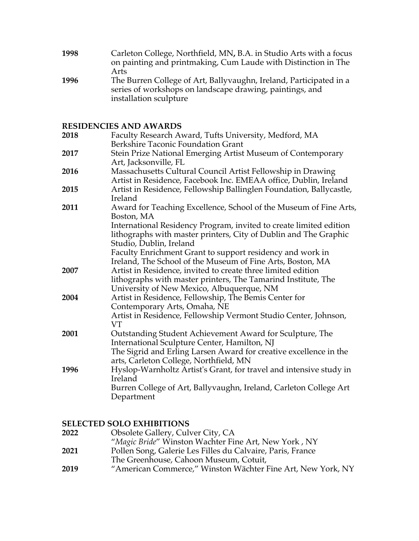- **1998** Carleton College, Northfield, MN**,** B.A. in Studio Arts with a focus on painting and printmaking, Cum Laude with Distinction in The Arts
- **1996** The Burren College of Art, Ballyvaughn, Ireland, Participated in a series of workshops on landscape drawing, paintings, and installation sculpture

## **RESIDENCIES AND AWARDS**

| 2018 | Faculty Research Award, Tufts University, Medford, MA               |
|------|---------------------------------------------------------------------|
|      | Berkshire Taconic Foundation Grant                                  |
| 2017 | Stein Prize National Emerging Artist Museum of Contemporary         |
|      | Art, Jacksonville, FL                                               |
| 2016 | Massachusetts Cultural Council Artist Fellowship in Drawing         |
|      | Artist in Residence, Facebook Inc. EMEAA office, Dublin, Ireland    |
| 2015 | Artist in Residence, Fellowship Ballinglen Foundation, Ballycastle, |
|      | Ireland                                                             |
| 2011 | Award for Teaching Excellence, School of the Museum of Fine Arts,   |
|      | Boston, MA                                                          |
|      | International Residency Program, invited to create limited edition  |
|      | lithographs with master printers, City of Dublin and The Graphic    |
|      | Studio, Dublin, Ireland                                             |
|      | Faculty Enrichment Grant to support residency and work in           |
|      | Ireland, The School of the Museum of Fine Arts, Boston, MA          |
| 2007 | Artist in Residence, invited to create three limited edition        |
|      | lithographs with master printers, The Tamarind Institute, The       |
|      | University of New Mexico, Albuquerque, NM                           |
| 2004 | Artist in Residence, Fellowship, The Bemis Center for               |
|      | Contemporary Arts, Omaha, NE                                        |
|      | Artist in Residence, Fellowship Vermont Studio Center, Johnson,     |
|      | VT                                                                  |
| 2001 | Outstanding Student Achievement Award for Sculpture, The            |
|      | International Sculpture Center, Hamilton, NJ                        |
|      | The Sigrid and Erling Larsen Award for creative excellence in the   |
|      | arts, Carleton College, Northfield, MN                              |
| 1996 | Hyslop-Warnholtz Artist's Grant, for travel and intensive study in  |
|      | Ireland                                                             |
|      | Burren College of Art, Ballyvaughn, Ireland, Carleton College Art   |
|      | Department                                                          |

#### **SELECTED SOLO EXHIBITIONS**

| 2022 | Obsolete Gallery, Culver City, CA                           |
|------|-------------------------------------------------------------|
|      | "Magic Bride" Winston Wachter Fine Art, New York, NY        |
| 2021 | Pollen Song, Galerie Les Filles du Calvaire, Paris, France  |
|      | The Greenhouse, Cahoon Museum, Cotuit,                      |
| 2019 | "American Commerce," Winston Wächter Fine Art, New York, NY |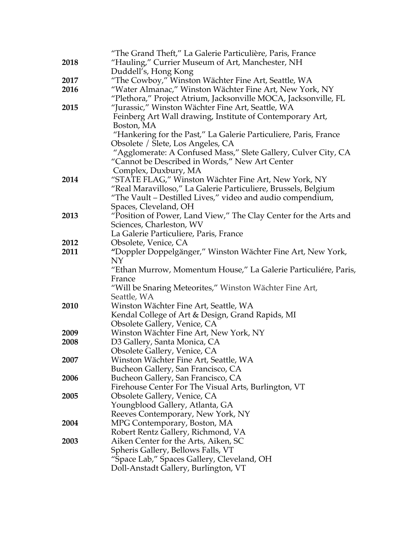|      | "The Grand Theft," La Galerie Particulière, Paris, France        |
|------|------------------------------------------------------------------|
| 2018 | "Hauling," Currier Museum of Art, Manchester, NH                 |
|      | Duddell's, Hong Kong                                             |
| 2017 | "The Cowboy," Winston Wächter Fine Art, Seattle, WA              |
| 2016 | "Water Almanac," Winston Wächter Fine Art, New York, NY          |
|      | "Plethora," Project Atrium, Jacksonville MOCA, Jacksonville, FL  |
| 2015 | "Jurassic," Winston Wächter Fine Art, Seattle, WA                |
|      | Feinberg Art Wall drawing, Institute of Contemporary Art,        |
|      | Boston, MA                                                       |
|      | "Hankering for the Past," La Galerie Particuliere, Paris, France |
|      | Obsolete / Slete, Los Angeles, CA                                |
|      | "Agglomerate: A Confused Mass," Slete Gallery, Culver City, CA   |
|      | "Cannot be Described in Words," New Art Center                   |
|      |                                                                  |
|      | Complex, Duxbury, MA                                             |
| 2014 | "STATE FLAG," Winston Wächter Fine Art, New York, NY             |
|      | "Real Maravilloso," La Galerie Particuliere, Brussels, Belgium   |
|      | "The Vault – Destilled Lives," video and audio compendium,       |
|      | Spaces, Cleveland, OH                                            |
| 2013 | "Position of Power, Land View," The Clay Center for the Arts and |
|      | Sciences, Charleston, WV                                         |
|      | La Galerie Particuliere, Paris, France                           |
| 2012 | Obsolete, Venice, CA                                             |
| 2011 | "Doppler Doppelgänger," Winston Wächter Fine Art, New York,      |
|      | NY                                                               |
|      | "Ethan Murrow, Momentum House," La Galerie Particuliére, Paris,  |
|      | France                                                           |
|      | "Will be Snaring Meteorites," Winston Wächter Fine Art,          |
| 2010 | Seattle, WA                                                      |
|      | Winston Wächter Fine Art, Seattle, WA                            |
|      | Kendal College of Art & Design, Grand Rapids, MI                 |
|      | Obsolete Gallery, Venice, CA                                     |
| 2009 | Winston Wächter Fine Art, New York, NY                           |
| 2008 | D3 Gallery, Santa Monica, CA                                     |
| 2007 | Obsolete Gallery, Venice, CA                                     |
|      | Winston Wächter Fine Art, Seattle, WA                            |
|      | Bucheon Gallery, San Francisco, CA                               |
| 2006 | Bucheon Gallery, San Francisco, CA                               |
|      | Firehouse Center For The Visual Arts, Burlington, VT             |
| 2005 | Obsolete Gallery, Venice, CA                                     |
|      | Youngblood Gallery, Atlanta, GA                                  |
|      | Reeves Contemporary, New York, NY                                |
| 2004 | MPG Contemporary, Boston, MA                                     |
|      | Robert Rentz Gallery, Richmond, VA                               |
| 2003 | Aiken Center for the Arts, Aiken, SC                             |
|      | Spheris Gallery, Bellows Falls, VT                               |
|      | "Space Lab," Spaces Gallery, Cleveland, OH                       |
|      | Doll-Anstadt Gallery, Burlington, VT                             |
|      |                                                                  |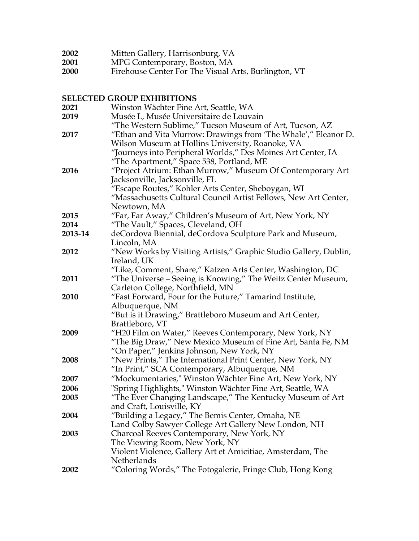| Mitten Gallery, Harrisonburg, VA |
|----------------------------------|
|                                  |

- **2001** MPG Contemporary, Boston, MA
- **2000** Firehouse Center For The Visual Arts, Burlington, VT

## **SELECTED GROUP EXHIBITIONS**

| 2021    | Winston Wächter Fine Art, Seattle, WA                            |
|---------|------------------------------------------------------------------|
| 2019    | Musée L, Musée Universitaire de Louvain                          |
|         | "The Western Sublime," Tucson Museum of Art, Tucson, AZ          |
| 2017    | "Ethan and Vita Murrow: Drawings from 'The Whale'," Eleanor D.   |
|         | Wilson Museum at Hollins University, Roanoke, VA                 |
|         | "Journeys into Peripheral Worlds," Des Moines Art Center, IA     |
|         | "The Apartment," Space 538, Portland, ME                         |
| 2016    | "Project Atrium: Ethan Murrow," Museum Of Contemporary Art       |
|         | Jacksonville, Jacksonville, FL                                   |
|         | "Escape Routes," Kohler Arts Center, Sheboygan, WI               |
|         | "Massachusetts Cultural Council Artist Fellows, New Art Center,  |
|         | Newtown, MA                                                      |
| 2015    | "Far, Far Away," Children's Museum of Art, New York, NY          |
| 2014    | "The Vault," Spaces, Cleveland, OH                               |
| 2013-14 | deCordova Biennial, deCordova Sculpture Park and Museum,         |
|         | Lincoln, MA                                                      |
| 2012    | "New Works by Visiting Artists," Graphic Studio Gallery, Dublin, |
|         | Ireland, UK                                                      |
|         | "Like, Comment, Share," Katzen Arts Center, Washington, DC       |
| 2011    | "The Universe - Seeing is Knowing," The Weitz Center Museum,     |
|         | Carleton College, Northfield, MN                                 |
| 2010    | "Fast Forward, Four for the Future," Tamarind Institute,         |
|         | Albuquerque, NM                                                  |
|         | "But is it Drawing," Brattleboro Museum and Art Center,          |
|         | Brattleboro, VT                                                  |
| 2009    | "H20 Film on Water," Reeves Contemporary, New York, NY           |
|         | "The Big Draw," New Mexico Museum of Fine Art, Santa Fe, NM      |
|         | "On Paper," Jenkins Johnson, New York, NY                        |
| 2008    | "New Prints," The International Print Center, New York, NY       |
|         | "In Print," SCA Contemporary, Albuquerque, NM                    |
| 2007    | "Mockumentaries," Winston Wächter Fine Art, New York, NY         |
| 2006    | "Spring Highlights," Winston Wächter Fine Art, Seattle, WA       |
| 2005    | "The Ever Changing Landscape," The Kentucky Museum of Art        |
|         | and Craft, Louisville, KY                                        |
| 2004    | "Building a Legacy," The Bemis Center, Omaha, NE                 |
|         | Land Colby Sawyer College Art Gallery New London, NH             |
| 2003    | Charcoal Reeves Contemporary, New York, NY                       |
|         | The Viewing Room, New York, NY                                   |
|         | Violent Violence, Gallery Art et Amicitiae, Amsterdam, The       |
|         | Netherlands                                                      |
| 2002    | "Coloring Words," The Fotogalerie, Fringe Club, Hong Kong        |
|         |                                                                  |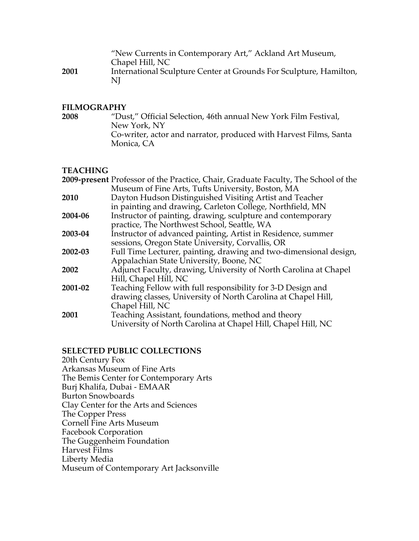|      | "New Currents in Contemporary Art," Ackland Art Museum,                  |
|------|--------------------------------------------------------------------------|
|      | Chapel Hill, NC                                                          |
| 2001 | International Sculpture Center at Grounds For Sculpture, Hamilton,<br>NI |

# **FILMOGRAPHY**

- 
- **2008** "Dust," Official Selection, 46th annual New York Film Festival, New York, NY Co-writer, actor and narrator, produced with Harvest Films, Santa Monica, CA

#### **TEACHING**

|         | 2009-present Professor of the Practice, Chair, Graduate Faculty, The School of the |
|---------|------------------------------------------------------------------------------------|
|         | Museum of Fine Arts, Tufts University, Boston, MA                                  |
| 2010    | Dayton Hudson Distinguished Visiting Artist and Teacher                            |
|         | in painting and drawing, Carleton College, Northfield, MN                          |
| 2004-06 | Instructor of painting, drawing, sculpture and contemporary                        |
|         | practice, The Northwest School, Seattle, WA                                        |
| 2003-04 | Instructor of advanced painting, Artist in Residence, summer                       |
|         | sessions, Oregon State University, Corvallis, OR                                   |
| 2002-03 | Full Time Lecturer, painting, drawing and two-dimensional design,                  |
|         | Appalachian State University, Boone, NC                                            |
| 2002    | Adjunct Faculty, drawing, University of North Carolina at Chapel                   |
|         | Hill, Chapel Hill, NC                                                              |
| 2001-02 | Teaching Fellow with full responsibility for 3-D Design and                        |
|         | drawing classes, University of North Carolina at Chapel Hill,                      |
|         | Chapel Hill, NC                                                                    |
| 2001    | Teaching Assistant, foundations, method and theory                                 |
|         | University of North Carolina at Chapel Hill, Chapel Hill, NC                       |

## **SELECTED PUBLIC COLLECTIONS**

20th Century Fox Arkansas Museum of Fine Arts The Bemis Center for Contemporary Arts Burj Khalifa, Dubai - EMAAR Burton Snowboards Clay Center for the Arts and Sciences The Copper Press Cornell Fine Arts Museum Facebook Corporation The Guggenheim Foundation Harvest Films Liberty Media Museum of Contemporary Art Jacksonville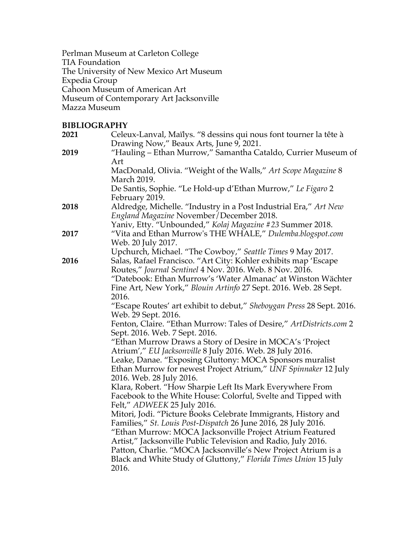Perlman Museum at Carleton College TIA Foundation The University of New Mexico Art Museum Expedia Group Cahoon Museum of American Art Museum of Contemporary Art Jacksonville Mazza Museum

## **BIBLIOGRAPHY**

| 2021 | Celeux-Lanval, Maïlys. "8 dessins qui nous font tourner la tête à                            |
|------|----------------------------------------------------------------------------------------------|
|      | Drawing Now," Beaux Arts, June 9, 2021.                                                      |
| 2019 | "Hauling - Ethan Murrow," Samantha Cataldo, Currier Museum of                                |
|      | Art                                                                                          |
|      | MacDonald, Olivia. "Weight of the Walls," Art Scope Magazine 8                               |
|      | <b>March 2019.</b>                                                                           |
|      | De Santis, Sophie. "Le Hold-up d'Ethan Murrow," Le Figaro 2                                  |
|      | February 2019.                                                                               |
| 2018 | Aldredge, Michelle. "Industry in a Post Industrial Era," Art New                             |
|      | England Magazine November/December 2018.                                                     |
|      | Yaniv, Etty. "Unbounded," Kolaj Magazine #23 Summer 2018.                                    |
| 2017 | "Vita and Ethan Murrow's THE WHALE," Dulemba.blogspot.com                                    |
|      | Web. 20 July 2017.                                                                           |
|      | Upchurch, Michael. "The Cowboy," Seattle Times 9 May 2017.                                   |
| 2016 | Salas, Rafael Francisco. "Art City: Kohler exhibits map 'Escape                              |
|      | Routes," Journal Sentinel 4 Nov. 2016. Web. 8 Nov. 2016.                                     |
|      | "Datebook: Ethan Murrow's 'Water Almanac' at Winston Wächter                                 |
|      | Fine Art, New York," Blouin Artinfo 27 Sept. 2016. Web. 28 Sept.                             |
|      | 2016.                                                                                        |
|      | "Escape Routes' art exhibit to debut," Sheboygan Press 28 Sept. 2016.<br>Web. 29 Sept. 2016. |
|      | Fenton, Claire. "Ethan Murrow: Tales of Desire," ArtDistricts.com 2                          |
|      | Sept. 2016. Web. 7 Sept. 2016.                                                               |
|      | "Ethan Murrow Draws a Story of Desire in MOCA's 'Project                                     |
|      | Atrium'," EU Jacksonville 8 July 2016. Web. 28 July 2016.                                    |
|      | Leake, Danae. "Exposing Gluttony: MOCA Sponsors muralist                                     |
|      | Ethan Murrow for newest Project Atrium," UNF Spinnaker 12 July                               |
|      | 2016. Web. 28 July 2016.                                                                     |
|      | Klara, Robert. "How Sharpie Left Its Mark Everywhere From                                    |
|      | Facebook to the White House: Colorful, Svelte and Tipped with                                |
|      | Felt," ADWEEK 25 July 2016.                                                                  |
|      | Mitori, Jodi. "Picture Books Celebrate Immigrants, History and                               |
|      | Families," St. Louis Post-Dispatch 26 June 2016, 28 July 2016.                               |
|      | "Ethan Murrow: MOCA Jacksonville Project Atrium Featured                                     |
|      | Artist," Jacksonville Public Television and Radio, July 2016.                                |
|      | Patton, Charlie. "MOCA Jacksonville's New Project Atrium is a                                |
|      | Black and White Study of Gluttony," Florida Times Union 15 July                              |
|      | 2016.                                                                                        |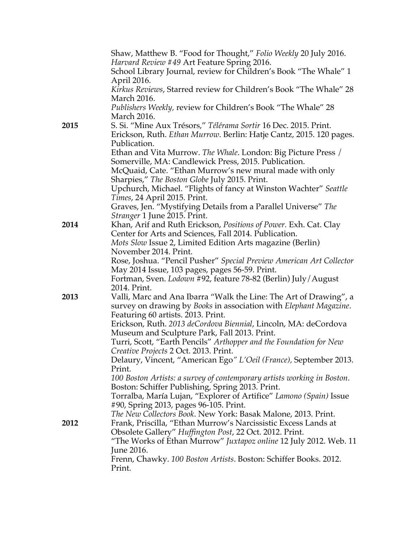|      | Shaw, Matthew B. "Food for Thought," Folio Weekly 20 July 2016.                                                             |
|------|-----------------------------------------------------------------------------------------------------------------------------|
|      | Harvard Review #49 Art Feature Spring 2016.<br>School Library Journal, review for Children's Book "The Whale" 1             |
|      | April 2016.                                                                                                                 |
|      | Kirkus Reviews, Starred review for Children's Book "The Whale" 28                                                           |
|      | March 2016.                                                                                                                 |
|      | Publishers Weekly, review for Children's Book "The Whale" 28<br><b>March 2016.</b>                                          |
| 2015 | S. Si. "Mine Aux Trésors," Télérama Sortir 16 Dec. 2015. Print.                                                             |
|      | Erickson, Ruth. Ethan Murrow. Berlin: Hatje Cantz, 2015. 120 pages.                                                         |
|      | Publication.                                                                                                                |
|      | Ethan and Vita Murrow. The Whale. London: Big Picture Press /                                                               |
|      | Somerville, MA: Candlewick Press, 2015. Publication.<br>McQuaid, Cate. "Ethan Murrow's new mural made with only             |
|      | Sharpies," The Boston Globe July 2015. Print.                                                                               |
|      | Upchurch, Michael. "Flights of fancy at Winston Wachter" Seattle                                                            |
|      | Times, 24 April 2015. Print.                                                                                                |
|      | Graves, Jen. "Mystifying Details from a Parallel Universe" The                                                              |
| 2014 | Stranger 1 June 2015. Print.<br>Khan, Arif and Ruth Erickson, Positions of Power. Exh. Cat. Clay                            |
|      | Center for Arts and Sciences, Fall 2014. Publication.                                                                       |
|      | Mots Slow Issue 2, Limited Edition Arts magazine (Berlin)                                                                   |
|      | November 2014. Print.                                                                                                       |
|      | Rose, Joshua. "Pencil Pusher" Special Preview American Art Collector                                                        |
|      | May 2014 Issue, 103 pages, pages 56-59. Print.<br>Fortman, Sven. Lodown #92, feature 78-82 (Berlin) July / August           |
|      | 2014. Print.                                                                                                                |
| 2013 | Valli, Marc and Ana Ibarra "Walk the Line: The Art of Drawing", a                                                           |
|      | survey on drawing by Books in association with Elephant Magazine.                                                           |
|      | Featuring 60 artists. 2013. Print.                                                                                          |
|      | Erickson, Ruth. 2013 deCordova Biennial, Lincoln, MA: deCordova<br>Museum and Sculpture Park, Fall 2013. Print.             |
|      | Turri, Scott, "Earth Pencils" Arthopper and the Foundation for New                                                          |
|      | Creative Projects 2 Oct. 2013. Print.                                                                                       |
|      | Delaury, Vincent, "American Ego" L'Oeil (France), September 2013.                                                           |
|      | Print.                                                                                                                      |
|      | 100 Boston Artists: a survey of contemporary artists working in Boston.<br>Boston: Schiffer Publishing, Spring 2013. Print. |
|      | Torralba, María Lujan, "Explorer of Artifice" Lamono (Spain) Issue                                                          |
|      | #90, Spring 2013, pages 96-105. Print.                                                                                      |
|      | The New Collectors Book. New York: Basak Malone, 2013. Print.                                                               |
| 2012 | Frank, Priscilla, "Ethan Murrow's Narcissistic Excess Lands at                                                              |
|      | Obsolete Gallery" Huffington Post, 22 Oct. 2012. Print.                                                                     |
|      | "The Works of Ethan Murrow" Juxtapoz online 12 July 2012. Web. 11<br>June 2016.                                             |
|      | Frenn, Chawky. 100 Boston Artists. Boston: Schiffer Books. 2012.                                                            |
|      | Print.                                                                                                                      |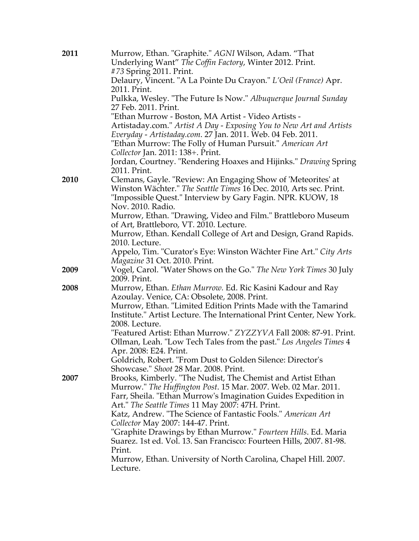| 2011 | Murrow, Ethan. "Graphite." AGNI Wilson, Adam. "That                               |
|------|-----------------------------------------------------------------------------------|
|      | Underlying Want" The Coffin Factory, Winter 2012. Print.                          |
|      | #73 Spring 2011. Print.                                                           |
|      | Delaury, Vincent. "A La Pointe Du Crayon." L'Oeil (France) Apr.                   |
|      | 2011. Print.                                                                      |
|      | Pulkka, Wesley. "The Future Is Now." Albuquerque Journal Sunday                   |
|      | 27 Feb. 2011. Print.                                                              |
|      | "Ethan Murrow - Boston, MA Artist - Video Artists -                               |
|      | Artistaday.com." Artist A Day - Exposing You to New Art and Artists               |
|      | Everyday - Artistaday.com. 27 Jan. 2011. Web. 04 Feb. 2011.                       |
|      | "Ethan Murrow: The Folly of Human Pursuit." American Art                          |
|      | Collector Jan. 2011: 138+. Print.                                                 |
|      | Jordan, Courtney. "Rendering Hoaxes and Hijinks." Drawing Spring                  |
|      | 2011. Print.                                                                      |
| 2010 | Clemans, Gayle. "Review: An Engaging Show of 'Meteorites' at                      |
|      | Winston Wächter." The Seattle Times 16 Dec. 2010, Arts sec. Print.                |
|      | "Impossible Quest." Interview by Gary Fagin. NPR. KUOW, 18                        |
|      | Nov. 2010. Radio.                                                                 |
|      | Murrow, Ethan. "Drawing, Video and Film." Brattleboro Museum                      |
|      | of Art, Brattleboro, VT. 2010. Lecture.                                           |
|      | Murrow, Ethan. Kendall College of Art and Design, Grand Rapids.                   |
|      | 2010. Lecture.                                                                    |
|      | Appelo, Tim. "Curator's Eye: Winston Wächter Fine Art." City Arts                 |
|      | Magazine 31 Oct. 2010. Print.                                                     |
| 2009 | Vogel, Carol. "Water Shows on the Go." The New York Times 30 July<br>2009. Print. |
| 2008 | Murrow, Ethan. Ethan Murrow. Ed. Ric Kasini Kadour and Ray                        |
|      | Azoulay. Venice, CA: Obsolete, 2008. Print.                                       |
|      | Murrow, Ethan. "Limited Edition Prints Made with the Tamarind                     |
|      | Institute." Artist Lecture. The International Print Center, New York.             |
|      | 2008. Lecture.                                                                    |
|      | "Featured Artist: Ethan Murrow." ZYZZYVA Fall 2008: 87-91. Print.                 |
|      | Ollman, Leah. "Low Tech Tales from the past." Los Angeles Times 4                 |
|      | Apr. 2008: E24. Print.                                                            |
|      | Goldrich, Robert. "From Dust to Golden Silence: Director's                        |
|      | Showcase." Shoot 28 Mar. 2008. Print.                                             |
| 2007 | Brooks, Kimberly. "The Nudist, The Chemist and Artist Ethan                       |
|      | Murrow." The Huffington Post. 15 Mar. 2007. Web. 02 Mar. 2011.                    |
|      | Farr, Sheila. "Ethan Murrow's Imagination Guides Expedition in                    |
|      | Art." The Seattle Times 11 May 2007: 47H. Print.                                  |
|      | Katz, Andrew. "The Science of Fantastic Fools." American Art                      |
|      | Collector May 2007: 144-47. Print.                                                |
|      | "Graphite Drawings by Ethan Murrow." Fourteen Hills. Ed. Maria                    |
|      | Suarez. 1st ed. Vol. 13. San Francisco: Fourteen Hills, 2007. 81-98.              |
|      | Print.                                                                            |
|      | Murrow, Ethan. University of North Carolina, Chapel Hill. 2007.                   |
|      | Lecture.                                                                          |